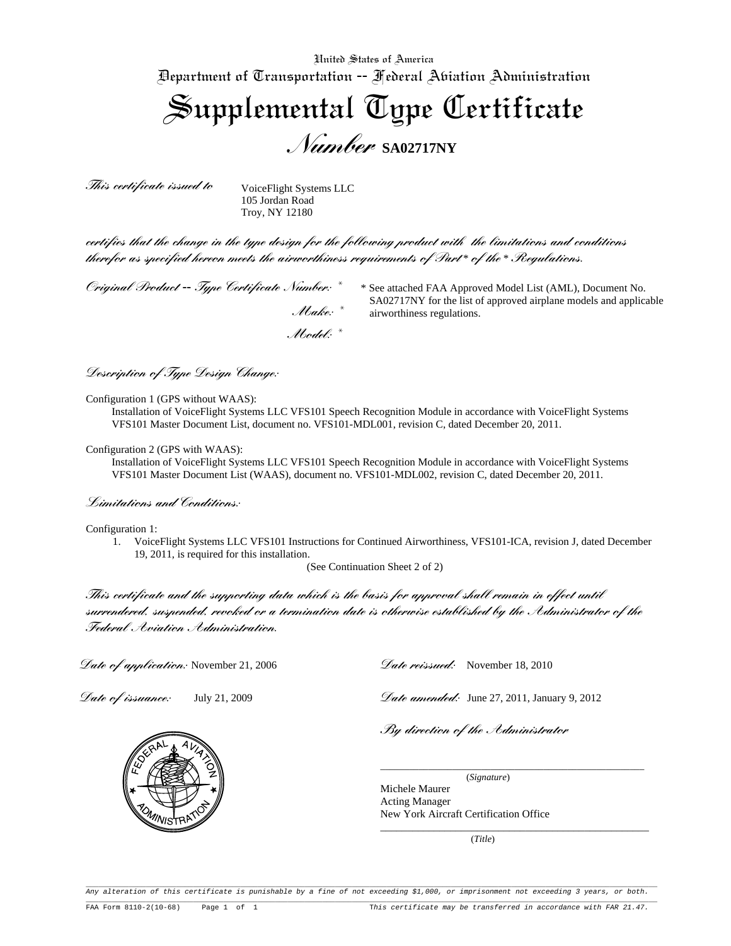United States of America Department of Transportation -- Federal Aviation Administration Supplemental Type Certificate *Number* **SA02717NY** 

*This certificate issued to*

VoiceFlight Systems LLC 105 Jordan Road Troy, NY 12180

 *Model: \**

*certifies that the change in the type design for the following product with the limitations and conditions therefor as specified hereon meets the airworthiness requirements of Part* \* *of the* \* *Regulations.*

*Original Product* **--** *Type Certificate Number: \**

\* See attached FAA Approved Model List (AML), Document No. SA02717NY for the list of approved airplane models and applicable airworthiness regulations. *Make: \**

*Description of Type Design Change:* 

Configuration 1 (GPS without WAAS):

Installation of VoiceFlight Systems LLC VFS101 Speech Recognition Module in accordance with VoiceFlight Systems VFS101 Master Document List, document no. VFS101-MDL001, revision C, dated December 20, 2011.

Configuration 2 (GPS with WAAS):

Installation of VoiceFlight Systems LLC VFS101 Speech Recognition Module in accordance with VoiceFlight Systems VFS101 Master Document List (WAAS), document no. VFS101-MDL002, revision C, dated December 20, 2011.

*Limitations and Conditions:* 

Configuration 1:

1. VoiceFlight Systems LLC VFS101 Instructions for Continued Airworthiness, VFS101-ICA, revision J, dated December 19, 2011, is required for this installation.

(See Continuation Sheet 2 of 2)

*This certificate and the supporting data which is the basis for approval shall remain in effect until surrendered, suspended, revoked or a termination date is otherwise established by the Administrator of the Federal Aviation Administration.*

*Date of application:* November 21, 2006

*Date of issuance:* July 21, 2009

*Date reissued:* November 18, 2010

*Date amended:* June 27, 2011, January 9, 2012

*By direction of the Administrator*

(*Signature*)

\_\_\_\_\_\_\_\_\_\_\_\_\_\_\_\_\_\_\_\_\_\_\_\_\_\_\_\_\_\_\_\_\_\_\_\_\_\_\_\_\_\_\_\_\_\_\_\_\_\_\_\_\_\_\_

\_\_\_\_\_\_\_\_\_\_\_\_\_\_\_\_\_\_\_\_\_\_\_\_\_\_\_\_\_\_\_\_\_\_\_\_\_\_\_\_\_\_\_\_\_\_\_\_\_\_

Michele Maurer Acting Manager New York Aircraft Certification Office

(*Title*)